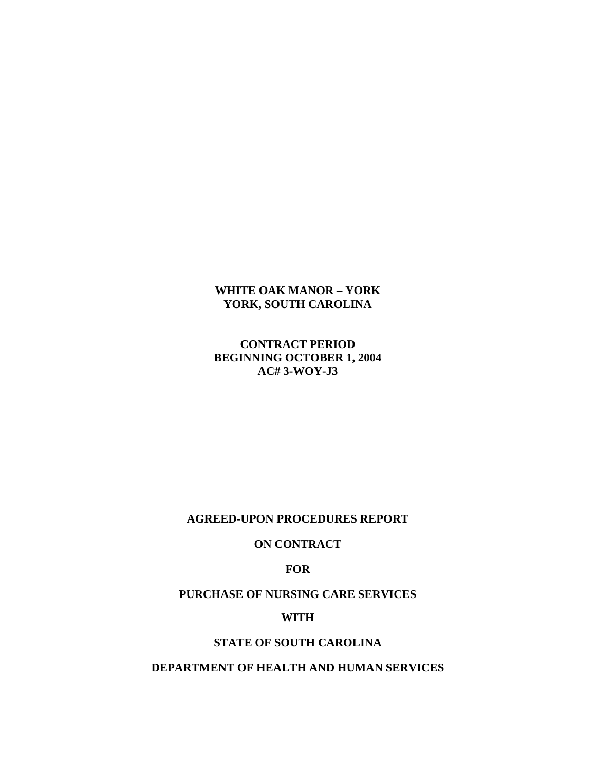# **WHITE OAK MANOR – YORK YORK, SOUTH CAROLINA**

**CONTRACT PERIOD BEGINNING OCTOBER 1, 2004 AC# 3-WOY-J3** 

### **AGREED-UPON PROCEDURES REPORT**

### **ON CONTRACT**

**FOR** 

**PURCHASE OF NURSING CARE SERVICES** 

# **WITH**

# **STATE OF SOUTH CAROLINA**

# **DEPARTMENT OF HEALTH AND HUMAN SERVICES**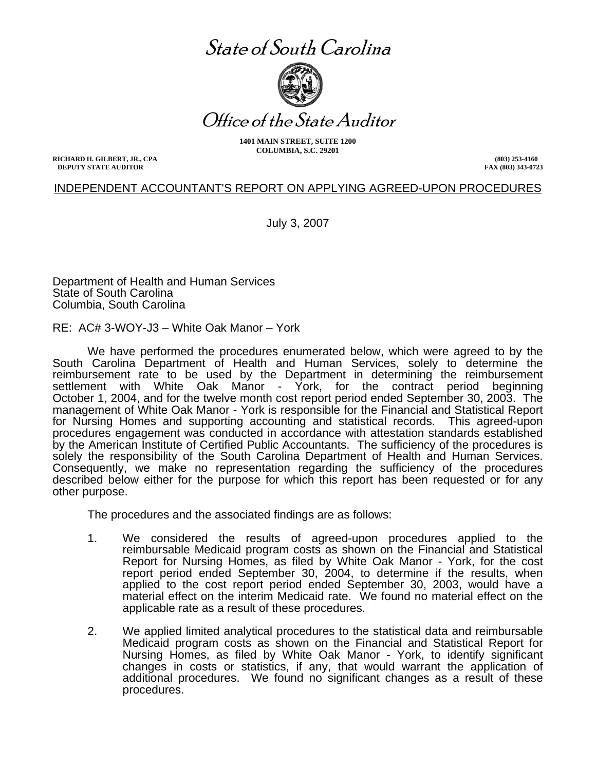# State of South Carolina



Office of the State Auditor

**1401 MAIN STREET, SUITE 1200 COLUMBIA, S.C. 29201** 

**RICHARD H. GILBERT, JR., CPA DEPUTY STATE AUDITOR** 

**(803) 253-4160 FAX (803) 343-0723**

# INDEPENDENT ACCOUNTANT'S REPORT ON APPLYING AGREED-UPON PROCEDURES

July 3, 2007

Department of Health and Human Services State of South Carolina Columbia, South Carolina

RE: AC# 3-WOY-J3 – White Oak Manor – York

We have performed the procedures enumerated below, which were agreed to by the South Carolina Department of Health and Human Services, solely to determine the reimbursement rate to be used by the Department in determining the reimbursement settlement with White Oak Manor - York, for the contract period beginning October 1, 2004, and for the twelve month cost report period ended September 30, 2003. The management of White Oak Manor - York is responsible for the Financial and Statistical Report for Nursing Homes and supporting accounting and statistical records. This agreed-upon procedures engagement was conducted in accordance with attestation standards established by the American Institute of Certified Public Accountants. The sufficiency of the procedures is solely the responsibility of the South Carolina Department of Health and Human Services. Consequently, we make no representation regarding the sufficiency of the procedures described below either for the purpose for which this report has been requested or for any other purpose.

The procedures and the associated findings are as follows:

- 1. We considered the results of agreed-upon procedures applied to the reimbursable Medicaid program costs as shown on the Financial and Statistical Report for Nursing Homes, as filed by White Oak Manor - York, for the cost report period ended September 30, 2004, to determine if the results, when applied to the cost report period ended September 30, 2003, would have a material effect on the interim Medicaid rate. We found no material effect on the applicable rate as a result of these procedures.
- 2. We applied limited analytical procedures to the statistical data and reimbursable Medicaid program costs as shown on the Financial and Statistical Report for Nursing Homes, as filed by White Oak Manor - York, to identify significant changes in costs or statistics, if any, that would warrant the application of additional procedures. We found no significant changes as a result of these procedures.